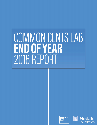# COMMON CENTS LAB END OF YEAR<br>2016 REPORT



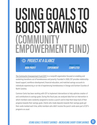## USING GOALS TO BOOST SAVINGS (COMMUNITY<br>EMPOWERMENT FUND)

### *PROJECT AT A GLANCE*

*PARTNER TYPE NON-PROFIT* *PROJECT TYPE EXPERIMENT*

#### *PROJECT STATUS COMPLETED*

[The Community Empowerment Fund \(CEF\)](https://communityempowermentfund.org) is a nonprofit organization focused on enabling and sustaining transitions out of homelessness and poverty. Founded in 2009, CEF provides relationshipbased support, workforce development, financial education, and matched savings accounts to individuals experiencing or at-risk of experiencing homelessness in Orange and Durham Counties of North Carolina.

Common Cents has been working with CEF to implement interventions to help optimize creation of and contributions to savings goals. During this fiscal year, we analyzed data from an intervention in which members were randomly assigned to receive a punch card to help them keep track of their progress towards their savings goals. Clients who made deposits towards their savings goals got their cards marked each time, while members who didn't receive the punch cards were part of CEF's programs as usual.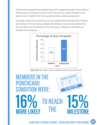This intervention employed the goal-gradient theory, which suggests that people will work harder to achieve a goal as the target gets closer; the punch card served as a physical reminder to make deposits and as a tangible tool for tracking progress towards completing savings goals.

On average, members who received the punch card completed 49% of their goal by the cutoff date, while members in the control group completed 33%. Members in the punch card condition were also more likely to reach the milestone of 15% of their goal by a diference of 16% between the treatment and control groups.



Figure [24]: Percentage of goal completed (control versus punch card)

#### **MEMBERS IN THE PUNCHCARD CONDITION WERE: PUNCHLAKE 15% MILESTONE SAVINGS PROGRESS 16% MORE LIKELY 15% MILESTONE TO REACH THE**

*USING GOALS TO BOOST SAVINGS - INCREASING SHORT-TERM SAVINGS* **62**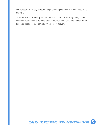With the success of this test, CEF has now begun providing punch cards to all members activating new goals.

The lessons from this partnership will inform our work and research on savings among unbanked populations. Looking forward, we intend to continue partnering with CEF to help members achieve their financial goals and enable smoother transitions out of poverty.